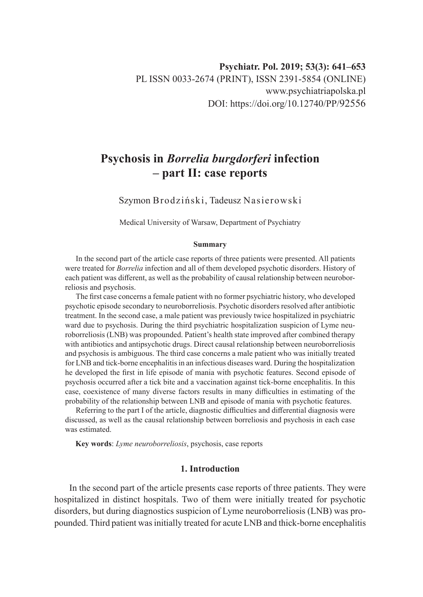# **Psychosis in** *Borrelia burgdorferi* **infection – part II: case reports**

Szymon Brodziński, Tadeusz Nasierowski

Medical University of Warsaw, Department of Psychiatry

#### **Summary**

In the second part of the article case reports of three patients were presented. All patients were treated for *Borrelia* infection and all of them developed psychotic disorders. History of each patient was different, as well as the probability of causal relationship between neuroborreliosis and psychosis.

The first case concerns a female patient with no former psychiatric history, who developed psychotic episode secondary to neuroborreliosis. Psychotic disorders resolved after antibiotic treatment. In the second case, a male patient was previously twice hospitalized in psychiatric ward due to psychosis. During the third psychiatric hospitalization suspicion of Lyme neuroborreliosis (LNB) was propounded. Patient's health state improved after combined therapy with antibiotics and antipsychotic drugs. Direct causal relationship between neuroborreliosis and psychosis is ambiguous. The third case concerns a male patient who was initially treated for LNB and tick-borne encephalitis in an infectious diseases ward. During the hospitalization he developed the first in life episode of mania with psychotic features. Second episode of psychosis occurred after a tick bite and a vaccination against tick-borne encephalitis. In this case, coexistence of many diverse factors results in many difficulties in estimating of the probability of the relationship between LNB and episode of mania with psychotic features.

Referring to the part I of the article, diagnostic difficulties and differential diagnosis were discussed, as well as the causal relationship between borreliosis and psychosis in each case was estimated.

**Key words**: *Lyme neuroborreliosis*, psychosis, case reports

## **1. Introduction**

In the second part of the article presents case reports of three patients. They were hospitalized in distinct hospitals. Two of them were initially treated for psychotic disorders, but during diagnostics suspicion of Lyme neuroborreliosis (LNB) was propounded. Third patient was initially treated for acute LNB and thick-borne encephalitis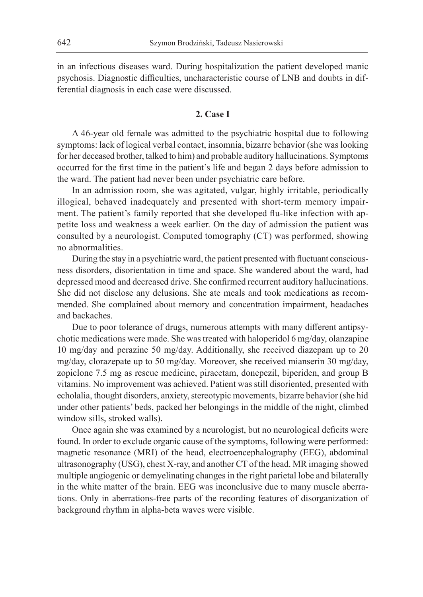in an infectious diseases ward. During hospitalization the patient developed manic psychosis. Diagnostic difficulties, uncharacteristic course of LNB and doubts in differential diagnosis in each case were discussed.

## **2. Case I**

A 46-year old female was admitted to the psychiatric hospital due to following symptoms: lack of logical verbal contact, insomnia, bizarre behavior (she was looking for her deceased brother, talked to him) and probable auditory hallucinations. Symptoms occurred for the first time in the patient's life and began 2 days before admission to the ward. The patient had never been under psychiatric care before.

In an admission room, she was agitated, vulgar, highly irritable, periodically illogical, behaved inadequately and presented with short-term memory impairment. The patient's family reported that she developed flu-like infection with appetite loss and weakness a week earlier. On the day of admission the patient was consulted by a neurologist. Computed tomography (CT) was performed, showing no abnormalities.

During the stay in a psychiatric ward, the patient presented with fluctuant consciousness disorders, disorientation in time and space. She wandered about the ward, had depressed mood and decreased drive. She confirmed recurrent auditory hallucinations. She did not disclose any delusions. She ate meals and took medications as recommended. She complained about memory and concentration impairment, headaches and backaches.

Due to poor tolerance of drugs, numerous attempts with many different antipsychotic medications were made. She was treated with haloperidol 6 mg/day, olanzapine 10 mg/day and perazine 50 mg/day. Additionally, she received diazepam up to 20 mg/day, clorazepate up to 50 mg/day. Moreover, she received mianserin 30 mg/day, zopiclone 7.5 mg as rescue medicine, piracetam, donepezil, biperiden, and group B vitamins. No improvement was achieved. Patient was still disoriented, presented with echolalia, thought disorders, anxiety, stereotypic movements, bizarre behavior (she hid under other patients' beds, packed her belongings in the middle of the night, climbed window sills, stroked walls).

Once again she was examined by a neurologist, but no neurological deficits were found. In order to exclude organic cause of the symptoms, following were performed: magnetic resonance (MRI) of the head, electroencephalography (EEG), abdominal ultrasonography (USG), chest X-ray, and another CT of the head. MR imaging showed multiple angiogenic or demyelinating changes in the right parietal lobe and bilaterally in the white matter of the brain. EEG was inconclusive due to many muscle aberrations. Only in aberrations-free parts of the recording features of disorganization of background rhythm in alpha-beta waves were visible.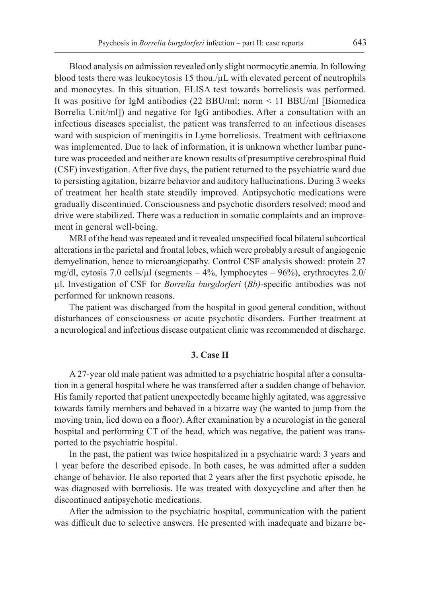Blood analysis on admission revealed only slight normocytic anemia. In following blood tests there was leukocytosis 15 thou./µL with elevated percent of neutrophils and monocytes. In this situation, ELISA test towards borreliosis was performed. It was positive for IgM antibodies (22 BBU/ml; norm < 11 BBU/ml [Biomedica Borrelia Unit/ml]) and negative for IgG antibodies. After a consultation with an infectious diseases specialist, the patient was transferred to an infectious diseases ward with suspicion of meningitis in Lyme borreliosis. Treatment with ceftriaxone was implemented. Due to lack of information, it is unknown whether lumbar puncture was proceeded and neither are known results of presumptive cerebrospinal fluid (CSF) investigation. After five days, the patient returned to the psychiatric ward due to persisting agitation, bizarre behavior and auditory hallucinations. During 3 weeks of treatment her health state steadily improved. Antipsychotic medications were gradually discontinued. Consciousness and psychotic disorders resolved; mood and drive were stabilized. There was a reduction in somatic complaints and an improvement in general well-being.

MRI of the head was repeated and it revealed unspecified focal bilateral subcortical alterations in the parietal and frontal lobes, which were probably a result of angiogenic demyelination, hence to microangiopathy. Control CSF analysis showed: protein 27 mg/dl, cytosis 7.0 cells/ $\mu$ l (segments – 4%, lymphocytes – 96%), erythrocytes 2.0/ µl. Investigation of CSF for *Borrelia burgdorferi* (*Bb)*-specific antibodies was not performed for unknown reasons.

The patient was discharged from the hospital in good general condition, without disturbances of consciousness or acute psychotic disorders. Further treatment at a neurological and infectious disease outpatient clinic was recommended at discharge.

## **3. Case II**

A 27-year old male patient was admitted to a psychiatric hospital after a consultation in a general hospital where he was transferred after a sudden change of behavior. His family reported that patient unexpectedly became highly agitated, was aggressive towards family members and behaved in a bizarre way (he wanted to jump from the moving train, lied down on a floor). After examination by a neurologist in the general hospital and performing CT of the head, which was negative, the patient was transported to the psychiatric hospital.

In the past, the patient was twice hospitalized in a psychiatric ward: 3 years and 1 year before the described episode. In both cases, he was admitted after a sudden change of behavior. He also reported that 2 years after the first psychotic episode, he was diagnosed with borreliosis. He was treated with doxycycline and after then he discontinued antipsychotic medications.

After the admission to the psychiatric hospital, communication with the patient was difficult due to selective answers. He presented with inadequate and bizarre be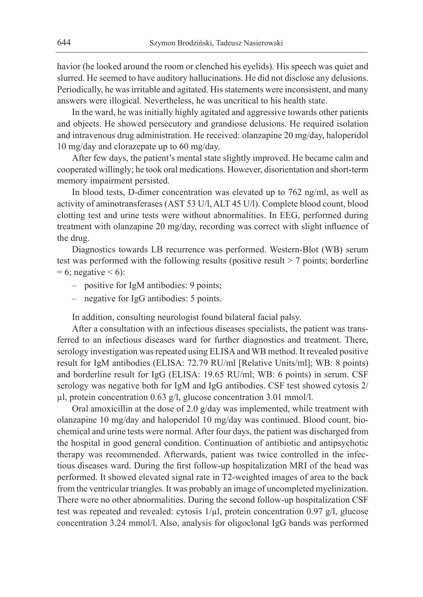havior (he looked around the room or clenched his eyelids). His speech was quiet and slurred. He seemed to have auditory hallucinations. He did not disclose any delusions. Periodically, he was irritable and agitated. His statements were inconsistent, and many answers were illogical. Nevertheless, he was uncritical to his health state.

In the ward, he was initially highly agitated and aggressive towards other patients and objects. He showed persecutory and grandiose delusions. He required isolation and intravenous drug administration. He received: olanzapine 20 mg/day, haloperidol 10 mg/day and clorazepate up to 60 mg/day.

After few days, the patient's mental state slightly improved. He became calm and cooperated willingly; he took oral medications. However, disorientation and short-term memory impairment persisted.

In blood tests, D-dimer concentration was elevated up to 762 ng/ml, as well as activity of aminotransferases (AST 53 U/l, ALT 45 U/l). Complete blood count, blood clotting test and urine tests were without abnormalities. In EEG, performed during treatment with olanzapine 20 mg/day, recording was correct with slight influence of the drug.

Diagnostics towards LB recurrence was performed. Western-Blot (WB) serum test was performed with the following results (positive result > 7 points; borderline  $= 6$ ; negative  $< 6$ ):

- positive for IgM antibodies: 9 points;
- negative for IgG antibodies: 5 points.

In addition, consulting neurologist found bilateral facial palsy.

After a consultation with an infectious diseases specialists, the patient was transferred to an infectious diseases ward for further diagnostics and treatment. There, serology investigation was repeated using ELISA and WB method. It revealed positive result for IgM antibodies (ELISA: 72.79 RU/ml [Relative Units/ml]; WB: 8 points) and borderline result for IgG (ELISA: 19.65 RU/ml; WB: 6 points) in serum. CSF serology was negative both for IgM and IgG antibodies. CSF test showed cytosis 2/ µl, protein concentration 0.63 g/l, glucose concentration 3.01 mmol/l.

Oral amoxicillin at the dose of 2.0 g/day was implemented, while treatment with olanzapine 10 mg/day and haloperidol 10 mg/day was continued. Blood count, biochemical and urine tests were normal. After four days, the patient was discharged from the hospital in good general condition. Continuation of antibiotic and antipsychotic therapy was recommended. Afterwards, patient was twice controlled in the infectious diseases ward. During the first follow-up hospitalization MRI of the head was performed. It showed elevated signal rate in T2-weighted images of area to the back from the ventricular triangles. It was probably an image of uncompleted myelinization. There were no other abnormalities. During the second follow-up hospitalization CSF test was repeated and revealed: cytosis  $1/\mu$ l, protein concentration 0.97 g/l, glucose concentration 3.24 mmol/l. Also, analysis for oligoclonal IgG bands was performed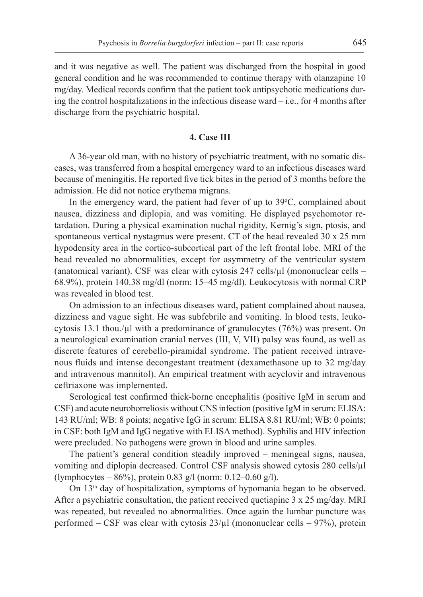and it was negative as well. The patient was discharged from the hospital in good general condition and he was recommended to continue therapy with olanzapine 10 mg/day. Medical records confirm that the patient took antipsychotic medications during the control hospitalizations in the infectious disease ward – i.e., for 4 months after discharge from the psychiatric hospital.

#### **4. Case III**

A 36-year old man, with no history of psychiatric treatment, with no somatic diseases, was transferred from a hospital emergency ward to an infectious diseases ward because of meningitis. He reported five tick bites in the period of 3 months before the admission. He did not notice erythema migrans.

In the emergency ward, the patient had fever of up to  $39^{\circ}$ C, complained about nausea, dizziness and diplopia, and was vomiting. He displayed psychomotor retardation. During a physical examination nuchal rigidity, Kernig's sign, ptosis, and spontaneous vertical nystagmus were present. CT of the head revealed 30 x 25 mm hypodensity area in the cortico-subcortical part of the left frontal lobe. MRI of the head revealed no abnormalities, except for asymmetry of the ventricular system (anatomical variant). CSF was clear with cytosis  $247$  cells/ $\mu$ l (mononuclear cells – 68.9%), protein 140.38 mg/dl (norm: 15–45 mg/dl). Leukocytosis with normal CRP was revealed in blood test.

On admission to an infectious diseases ward, patient complained about nausea, dizziness and vague sight. He was subfebrile and vomiting. In blood tests, leukocytosis 13.1 thou./µl with a predominance of granulocytes (76%) was present. On a neurological examination cranial nerves (III, V, VII) palsy was found, as well as discrete features of cerebello-piramidal syndrome. The patient received intravenous fluids and intense decongestant treatment (dexamethasone up to 32 mg/day and intravenous mannitol). An empirical treatment with acyclovir and intravenous ceftriaxone was implemented.

Serological test confirmed thick-borne encephalitis (positive IgM in serum and CSF) and acute neuroborreliosis without CNS infection (positive IgM in serum: ELISA: 143 RU/ml; WB: 8 points; negative IgG in serum: ELISA 8.81 RU/ml; WB: 0 points; in CSF: both IgM and IgG negative with ELISA method). Syphilis and HIV infection were precluded. No pathogens were grown in blood and urine samples.

The patient's general condition steadily improved – meningeal signs, nausea, vomiting and diplopia decreased. Control CSF analysis showed cytosis 280 cells/µl (lymphocytes – 86%), protein 0.83 g/l (norm: 0.12–0.60 g/l).

On 13<sup>th</sup> day of hospitalization, symptoms of hypomania began to be observed. After a psychiatric consultation, the patient received quetiapine 3 x 25 mg/day. MRI was repeated, but revealed no abnormalities. Once again the lumbar puncture was performed – CSF was clear with cytosis  $23/\mu$ l (mononuclear cells – 97%), protein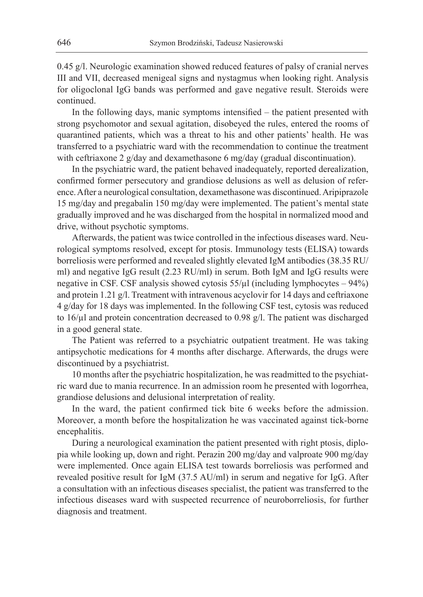0.45 g/l. Neurologic examination showed reduced features of palsy of cranial nerves III and VII, decreased menigeal signs and nystagmus when looking right. Analysis for oligoclonal IgG bands was performed and gave negative result. Steroids were continued.

In the following days, manic symptoms intensified – the patient presented with strong psychomotor and sexual agitation, disobeyed the rules, entered the rooms of quarantined patients, which was a threat to his and other patients' health. He was transferred to a psychiatric ward with the recommendation to continue the treatment with ceftriaxone 2 g/day and dexamethasone 6 mg/day (gradual discontinuation).

In the psychiatric ward, the patient behaved inadequately, reported derealization, confirmed former persecutory and grandiose delusions as well as delusion of reference. After a neurological consultation, dexamethasone was discontinued. Aripiprazole 15 mg/day and pregabalin 150 mg/day were implemented. The patient's mental state gradually improved and he was discharged from the hospital in normalized mood and drive, without psychotic symptoms.

Afterwards, the patient was twice controlled in the infectious diseases ward. Neurological symptoms resolved, except for ptosis. Immunology tests (ELISA) towards borreliosis were performed and revealed slightly elevated IgM antibodies (38.35 RU/ ml) and negative IgG result (2.23 RU/ml) in serum. Both IgM and IgG results were negative in CSF. CSF analysis showed cytosis  $55/\mu$  (including lymphocytes – 94%) and protein 1.21 g/l. Treatment with intravenous acyclovir for 14 days and ceftriaxone 4 g/day for 18 days was implemented. In the following CSF test, cytosis was reduced to 16/µl and protein concentration decreased to 0.98 g/l. The patient was discharged in a good general state.

The Patient was referred to a psychiatric outpatient treatment. He was taking antipsychotic medications for 4 months after discharge. Afterwards, the drugs were discontinued by a psychiatrist.

10 months after the psychiatric hospitalization, he was readmitted to the psychiatric ward due to mania recurrence. In an admission room he presented with logorrhea, grandiose delusions and delusional interpretation of reality.

In the ward, the patient confirmed tick bite 6 weeks before the admission. Moreover, a month before the hospitalization he was vaccinated against tick-borne encephalitis.

During a neurological examination the patient presented with right ptosis, diplopia while looking up, down and right. Perazin 200 mg/day and valproate 900 mg/day were implemented. Once again ELISA test towards borreliosis was performed and revealed positive result for IgM (37.5 AU/ml) in serum and negative for IgG. After a consultation with an infectious diseases specialist, the patient was transferred to the infectious diseases ward with suspected recurrence of neuroborreliosis, for further diagnosis and treatment.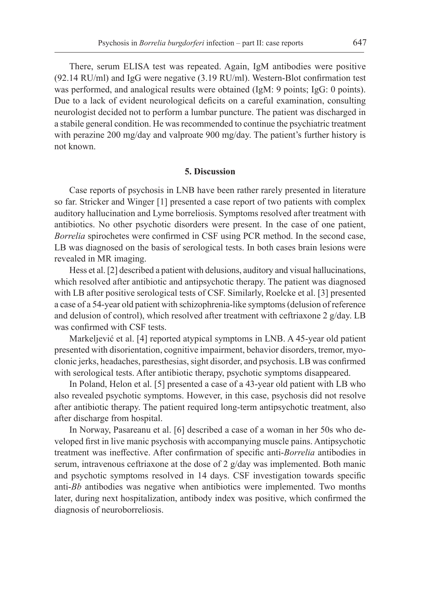There, serum ELISA test was repeated. Again, IgM antibodies were positive (92.14 RU/ml) and IgG were negative (3.19 RU/ml). Western-Blot confirmation test was performed, and analogical results were obtained (IgM: 9 points; IgG: 0 points). Due to a lack of evident neurological deficits on a careful examination, consulting neurologist decided not to perform a lumbar puncture. The patient was discharged in a stabile general condition. He was recommended to continue the psychiatric treatment with perazine 200 mg/day and valproate 900 mg/day. The patient's further history is not known.

#### **5. Discussion**

Case reports of psychosis in LNB have been rather rarely presented in literature so far. Stricker and Winger [1] presented a case report of two patients with complex auditory hallucination and Lyme borreliosis. Symptoms resolved after treatment with antibiotics. No other psychotic disorders were present. In the case of one patient, *Borrelia* spirochetes were confirmed in CSF using PCR method. In the second case, LB was diagnosed on the basis of serological tests. In both cases brain lesions were revealed in MR imaging.

Hess et al. [2] described a patient with delusions, auditory and visual hallucinations, which resolved after antibiotic and antipsychotic therapy. The patient was diagnosed with LB after positive serological tests of CSF. Similarly, Roelcke et al. [3] presented a case of a 54-year old patient with schizophrenia-like symptoms (delusion of reference and delusion of control), which resolved after treatment with ceftriaxone 2 g/day. LB was confirmed with CSF tests.

Markeljević et al. [4] reported atypical symptoms in LNB. A 45-year old patient presented with disorientation, cognitive impairment, behavior disorders, tremor, myoclonic jerks, headaches, paresthesias, sight disorder, and psychosis. LB was confirmed with serological tests. After antibiotic therapy, psychotic symptoms disappeared.

In Poland, Helon et al. [5] presented a case of a 43-year old patient with LB who also revealed psychotic symptoms. However, in this case, psychosis did not resolve after antibiotic therapy. The patient required long-term antipsychotic treatment, also after discharge from hospital.

In Norway, Pasareanu et al. [6] described a case of a woman in her 50s who developed first in live manic psychosis with accompanying muscle pains. Antipsychotic treatment was ineffective. After confirmation of specific anti-*Borrelia* antibodies in serum, intravenous ceftriaxone at the dose of 2 g/day was implemented. Both manic and psychotic symptoms resolved in 14 days. CSF investigation towards specific anti-*Bb* antibodies was negative when antibiotics were implemented. Two months later, during next hospitalization, antibody index was positive, which confirmed the diagnosis of neuroborreliosis.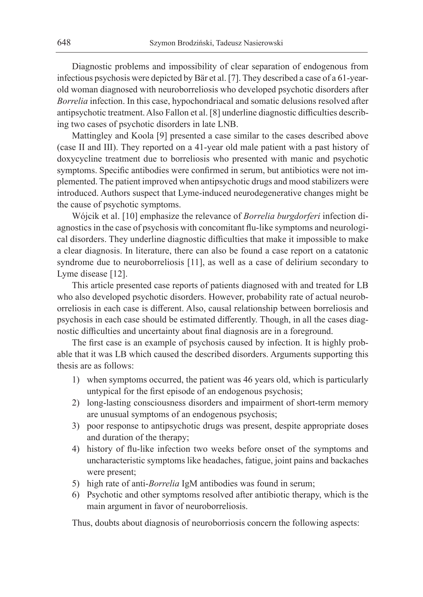Diagnostic problems and impossibility of clear separation of endogenous from infectious psychosis were depicted by Bär et al. [7]. They described a case of a 61-yearold woman diagnosed with neuroborreliosis who developed psychotic disorders after *Borrelia* infection. In this case, hypochondriacal and somatic delusions resolved after antipsychotic treatment. Also Fallon et al. [8] underline diagnostic difficulties describing two cases of psychotic disorders in late LNB.

Mattingley and Koola [9] presented a case similar to the cases described above (case II and III). They reported on a 41-year old male patient with a past history of doxycycline treatment due to borreliosis who presented with manic and psychotic symptoms. Specific antibodies were confirmed in serum, but antibiotics were not implemented. The patient improved when antipsychotic drugs and mood stabilizers were introduced. Authors suspect that Lyme-induced neurodegenerative changes might be the cause of psychotic symptoms.

Wójcik et al. [10] emphasize the relevance of *Borrelia burgdorferi* infection diagnostics in the case of psychosis with concomitant flu-like symptoms and neurological disorders. They underline diagnostic difficulties that make it impossible to make a clear diagnosis. In literature, there can also be found a case report on a catatonic syndrome due to neuroborreliosis [11], as well as a case of delirium secondary to Lyme disease [12].

This article presented case reports of patients diagnosed with and treated for LB who also developed psychotic disorders. However, probability rate of actual neuroborreliosis in each case is different. Also, causal relationship between borreliosis and psychosis in each case should be estimated differently. Though, in all the cases diagnostic difficulties and uncertainty about final diagnosis are in a foreground.

The first case is an example of psychosis caused by infection. It is highly probable that it was LB which caused the described disorders. Arguments supporting this thesis are as follows:

- 1) when symptoms occurred, the patient was 46 years old, which is particularly untypical for the first episode of an endogenous psychosis;
- 2) long-lasting consciousness disorders and impairment of short-term memory are unusual symptoms of an endogenous psychosis;
- 3) poor response to antipsychotic drugs was present, despite appropriate doses and duration of the therapy;
- 4) history of flu-like infection two weeks before onset of the symptoms and uncharacteristic symptoms like headaches, fatigue, joint pains and backaches were present;
- 5) high rate of anti-*Borrelia* IgM antibodies was found in serum;
- 6) Psychotic and other symptoms resolved after antibiotic therapy, which is the main argument in favor of neuroborreliosis.

Thus, doubts about diagnosis of neuroborriosis concern the following aspects: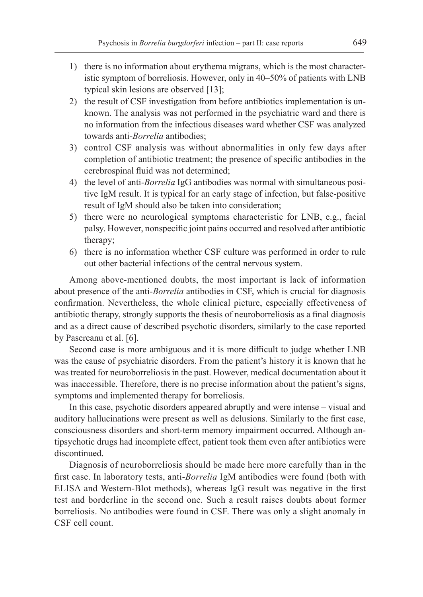- 1) there is no information about erythema migrans, which is the most characteristic symptom of borreliosis. However, only in 40–50% of patients with LNB typical skin lesions are observed [13];
- 2) the result of CSF investigation from before antibiotics implementation is unknown. The analysis was not performed in the psychiatric ward and there is no information from the infectious diseases ward whether CSF was analyzed towards anti-*Borrelia* antibodies;
- 3) control CSF analysis was without abnormalities in only few days after completion of antibiotic treatment; the presence of specific antibodies in the cerebrospinal fluid was not determined;
- 4) the level of anti-*Borrelia* IgG antibodies was normal with simultaneous positive IgM result. It is typical for an early stage of infection, but false-positive result of IgM should also be taken into consideration;
- 5) there were no neurological symptoms characteristic for LNB, e.g., facial palsy. However, nonspecific joint pains occurred and resolved after antibiotic therapy;
- 6) there is no information whether CSF culture was performed in order to rule out other bacterial infections of the central nervous system.

Among above-mentioned doubts, the most important is lack of information about presence of the anti-*Borrelia* antibodies in CSF, which is crucial for diagnosis confirmation. Nevertheless, the whole clinical picture, especially effectiveness of antibiotic therapy, strongly supports the thesis of neuroborreliosis as a final diagnosis and as a direct cause of described psychotic disorders, similarly to the case reported by Pasereanu et al. [6].

Second case is more ambiguous and it is more difficult to judge whether LNB was the cause of psychiatric disorders. From the patient's history it is known that he was treated for neuroborreliosis in the past. However, medical documentation about it was inaccessible. Therefore, there is no precise information about the patient's signs, symptoms and implemented therapy for borreliosis.

In this case, psychotic disorders appeared abruptly and were intense – visual and auditory hallucinations were present as well as delusions. Similarly to the first case, consciousness disorders and short-term memory impairment occurred. Although antipsychotic drugs had incomplete effect, patient took them even after antibiotics were discontinued.

Diagnosis of neuroborreliosis should be made here more carefully than in the first case. In laboratory tests, anti-*Borrelia* IgM antibodies were found (both with ELISA and Western-Blot methods), whereas IgG result was negative in the first test and borderline in the second one. Such a result raises doubts about former borreliosis. No antibodies were found in CSF. There was only a slight anomaly in CSF cell count.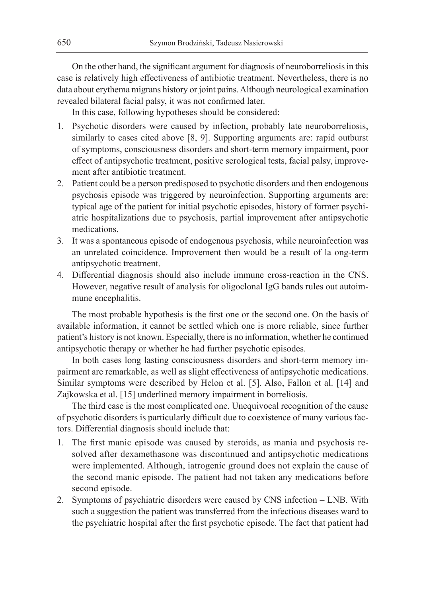On the other hand, the significant argument for diagnosis of neuroborreliosis in this case is relatively high effectiveness of antibiotic treatment. Nevertheless, there is no data about erythema migrans history or joint pains. Although neurological examination revealed bilateral facial palsy, it was not confirmed later.

In this case, following hypotheses should be considered:

- 1. Psychotic disorders were caused by infection, probably late neuroborreliosis, similarly to cases cited above [8, 9]. Supporting arguments are: rapid outburst of symptoms, consciousness disorders and short-term memory impairment, poor effect of antipsychotic treatment, positive serological tests, facial palsy, improvement after antibiotic treatment.
- 2. Patient could be a person predisposed to psychotic disorders and then endogenous psychosis episode was triggered by neuroinfection. Supporting arguments are: typical age of the patient for initial psychotic episodes, history of former psychiatric hospitalizations due to psychosis, partial improvement after antipsychotic medications.
- 3. It was a spontaneous episode of endogenous psychosis, while neuroinfection was an unrelated coincidence. Improvement then would be a result of la ong-term antipsychotic treatment.
- 4. Differential diagnosis should also include immune cross-reaction in the CNS. However, negative result of analysis for oligoclonal IgG bands rules out autoimmune encephalitis.

The most probable hypothesis is the first one or the second one. On the basis of available information, it cannot be settled which one is more reliable, since further patient's history is not known. Especially, there is no information, whether he continued antipsychotic therapy or whether he had further psychotic episodes.

In both cases long lasting consciousness disorders and short-term memory impairment are remarkable, as well as slight effectiveness of antipsychotic medications. Similar symptoms were described by Helon et al. [5]. Also, Fallon et al. [14] and Zajkowska et al. [15] underlined memory impairment in borreliosis.

The third case is the most complicated one. Unequivocal recognition of the cause of psychotic disorders is particularly difficult due to coexistence of many various factors. Differential diagnosis should include that:

- 1. The first manic episode was caused by steroids, as mania and psychosis resolved after dexamethasone was discontinued and antipsychotic medications were implemented. Although, iatrogenic ground does not explain the cause of the second manic episode. The patient had not taken any medications before second episode.
- 2. Symptoms of psychiatric disorders were caused by CNS infection LNB. With such a suggestion the patient was transferred from the infectious diseases ward to the psychiatric hospital after the first psychotic episode. The fact that patient had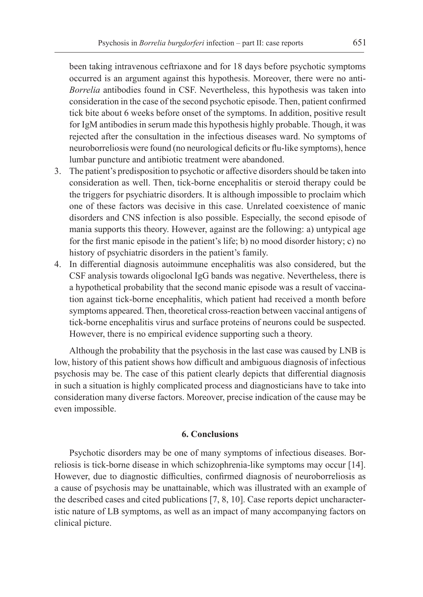been taking intravenous ceftriaxone and for 18 days before psychotic symptoms occurred is an argument against this hypothesis. Moreover, there were no anti-*Borrelia* antibodies found in CSF. Nevertheless, this hypothesis was taken into consideration in the case of the second psychotic episode. Then, patient confirmed tick bite about 6 weeks before onset of the symptoms. In addition, positive result for IgM antibodies in serum made this hypothesis highly probable. Though, it was rejected after the consultation in the infectious diseases ward. No symptoms of neuroborreliosis were found (no neurological deficits or flu-like symptoms), hence lumbar puncture and antibiotic treatment were abandoned.

- 3. The patient's predisposition to psychotic or affective disorders should be taken into consideration as well. Then, tick-borne encephalitis or steroid therapy could be the triggers for psychiatric disorders. It is although impossible to proclaim which one of these factors was decisive in this case. Unrelated coexistence of manic disorders and CNS infection is also possible. Especially, the second episode of mania supports this theory. However, against are the following: a) untypical age for the first manic episode in the patient's life; b) no mood disorder history; c) no history of psychiatric disorders in the patient's family.
- 4. In differential diagnosis autoimmune encephalitis was also considered, but the CSF analysis towards oligoclonal IgG bands was negative. Nevertheless, there is a hypothetical probability that the second manic episode was a result of vaccination against tick-borne encephalitis, which patient had received a month before symptoms appeared. Then, theoretical cross-reaction between vaccinal antigens of tick-borne encephalitis virus and surface proteins of neurons could be suspected. However, there is no empirical evidence supporting such a theory.

Although the probability that the psychosis in the last case was caused by LNB is low, history of this patient shows how difficult and ambiguous diagnosis of infectious psychosis may be. The case of this patient clearly depicts that differential diagnosis in such a situation is highly complicated process and diagnosticians have to take into consideration many diverse factors. Moreover, precise indication of the cause may be even impossible.

## **6. Conclusions**

Psychotic disorders may be one of many symptoms of infectious diseases. Borreliosis is tick-borne disease in which schizophrenia-like symptoms may occur [14]. However, due to diagnostic difficulties, confirmed diagnosis of neuroborreliosis as a cause of psychosis may be unattainable, which was illustrated with an example of the described cases and cited publications [7, 8, 10]. Case reports depict uncharacteristic nature of LB symptoms, as well as an impact of many accompanying factors on clinical picture.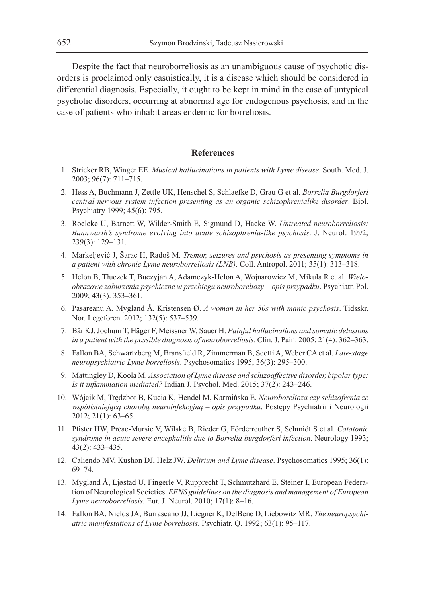Despite the fact that neuroborreliosis as an unambiguous cause of psychotic disorders is proclaimed only casuistically, it is a disease which should be considered in differential diagnosis. Especially, it ought to be kept in mind in the case of untypical psychotic disorders, occurring at abnormal age for endogenous psychosis, and in the case of patients who inhabit areas endemic for borreliosis.

#### **References**

- 1. Stricker RB, Winger EE. *Musical hallucinations in patients with Lyme disease*. South. Med. J. 2003; 96(7): 711–715.
- 2. Hess A, Buchmann J, Zettle UK, Henschel S, Schlaefke D, Grau G et al. *Borrelia Burgdorferi central nervous system infection presenting as an organic schizophrenialike disorder*. Biol. Psychiatry 1999; 45(6): 795.
- 3. Roelcke U, Barnett W, Wilder-Smith E, Sigmund D, Hacke W. *Untreated neuroborreliosis: Bannwarth's syndrome evolving into acute schizophrenia-like psychosis*. J. Neurol. 1992; 239(3): 129–131.
- 4. Markeljević J, Šarac H, Radoš M. *Tremor, seizures and psychosis as presenting symptoms in a patient with chronic Lyme neuroborreliosis (LNB)*. Coll. Antropol. 2011; 35(1): 313–318.
- 5. Helon B, Tłuczek T, Buczyjan A, Adamczyk-Helon A, Wojnarowicz M, Mikuła R et al. *Wieloobrazowe zaburzenia psychiczne w przebiegu neuroboreliozy – opis przypadku*. Psychiatr. Pol. 2009; 43(3): 353–361.
- 6. Pasareanu A, Mygland Å, Kristensen Ø. *A woman in her 50s with manic psychosis*. Tidsskr. Nor. Legeforen. 2012; 132(5): 537–539.
- 7. Bär KJ, Jochum T, Häger F, Meissner W, Sauer H. *Painful hallucinations and somatic delusions in a patient with the possible diagnosis of neuroborreliosis*. Clin. J. Pain. 2005; 21(4): 362–363.
- 8. Fallon BA, Schwartzberg M, Bransfield R, Zimmerman B, Scotti A, Weber CA et al. *Late-stage neuropsychiatric Lyme borreliosis*. Psychosomatics 1995; 36(3): 295–300.
- 9. Mattingley D, Koola M. *Association of Lyme disease and schizoaffective disorder, bipolar type: Is it inflammation mediated?* Indian J. Psychol. Med. 2015; 37(2): 243–246.
- 10. Wójcik M, Trędzbor B, Kucia K, Hendel M, Karmińska E. *Neuroborelioza czy schizofrenia ze współistniejącą chorobą neuroinfekcyjną – opis przypadku*. Postępy Psychiatrii i Neurologii 2012; 21(1): 63–65.
- 11. Pfister HW, Preac-Mursic V, Wilske B, Rieder G, Förderreuther S, Schmidt S et al. *Catatonic syndrome in acute severe encephalitis due to Borrelia burgdorferi infection*. Neurology 1993; 43(2): 433–435.
- 12. Caliendo MV, Kushon DJ, Helz JW. *Delirium and Lyme disease*. Psychosomatics 1995; 36(1): 69–74.
- 13. Mygland Å, Ljøstad U, Fingerle V, Rupprecht T, Schmutzhard E, Steiner I, European Federation of Neurological Societies. *EFNS guidelines on the diagnosis and management of European Lyme neuroborreliosis*. Eur. J. Neurol. 2010; 17(1): 8–16.
- 14. Fallon BA, Nields JA, Burrascano JJ, Liegner K, DelBene D, Liebowitz MR. *The neuropsychiatric manifestations of Lyme borreliosis*. Psychiatr. Q. 1992; 63(1): 95–117.